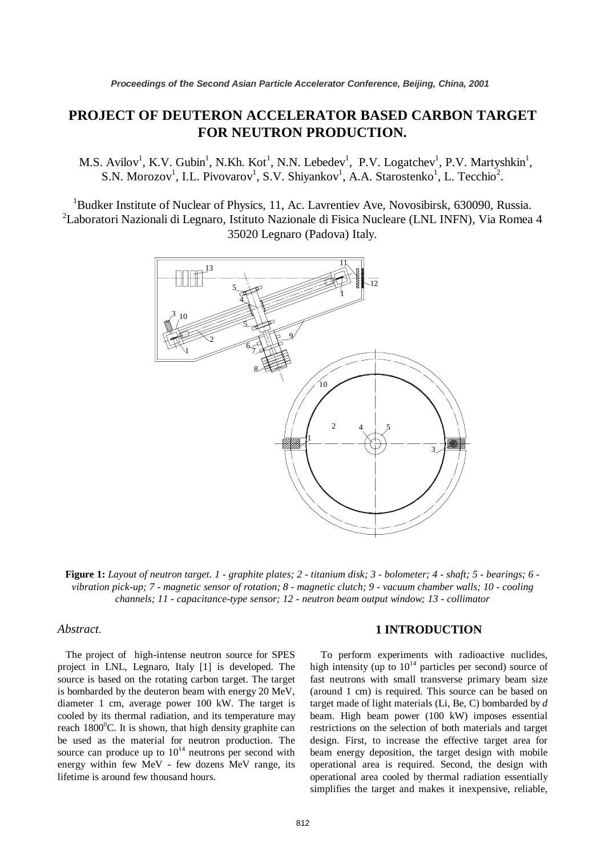# **PROJECT OF DEUTERON ACCELERATOR BASED CARBON TARGET FOR NEUTRON PRODUCTION.**

M.S. Avilov<sup>1</sup>, K.V. Gubin<sup>1</sup>, N.Kh. Kot<sup>1</sup>, N.N. Lebedev<sup>1</sup>, P.V. Logatchev<sup>1</sup>, P.V. Martyshkin<sup>1</sup>, S.N. Morozov<sup>1</sup>, I.L. Pivovarov<sup>1</sup>, S.V. Shiyankov<sup>1</sup>, A.A. Starostenko<sup>1</sup>, L. Tecchio<sup>2</sup>.

<sup>1</sup>Budker Institute of Nuclear of Physics, 11, Ac. Lavrentiev Ave, Novosibirsk, 630090, Russia. <sup>2</sup>Laboratori Nazionali di Legnaro, Istituto Nazionale di Fisica Nucleare (LNL INFN), Via Romea 4 35020 Legnaro (Padova) Italy.



**Figure 1:** *Layout of neutron target. 1 - graphite plates; 2 - titanium disk; 3 - bolometer; 4 - shaft; 5 - bearings; 6 vibration pick-up; 7 - magnetic sensor of rotation; 8 - magnetic clutch; 9 - vacuum chamber walls; 10 - cooling channels; 11 - capacitance-type sensor; 12 - neutron beam output window; 13 - collimator*

### *Abstract*.

 The project of high-intense neutron source for SPES project in LNL, Legnaro, Italy [1] is developed. The source is based on the rotating carbon target. The target is bombarded by the deuteron beam with energy 20 MeV, diameter 1 cm, average power 100 kW. The target is cooled by its thermal radiation, and its temperature may reach 1800<sup>°</sup>C. It is shown, that high density graphite can be used as the material for neutron production. The source can produce up to  $10^{14}$  neutrons per second with energy within few MeV - few dozens MeV range, its lifetime is around few thousand hours.

## **1 INTRODUCTION**

 To perform experiments with radioactive nuclides, high intensity (up to  $10^{14}$  particles per second) source of fast neutrons with small transverse primary beam size (around 1 cm) is required. This source can be based on target made of light materials (Li, Be, C) bombarded by *d* beam. High beam power (100 kW) imposes essential restrictions on the selection of both materials and target design. First, to increase the effective target area for beam energy deposition, the target design with mobile operational area is required. Second, the design with operational area cooled by thermal radiation essentially simplifies the target and makes it inexpensive, reliable,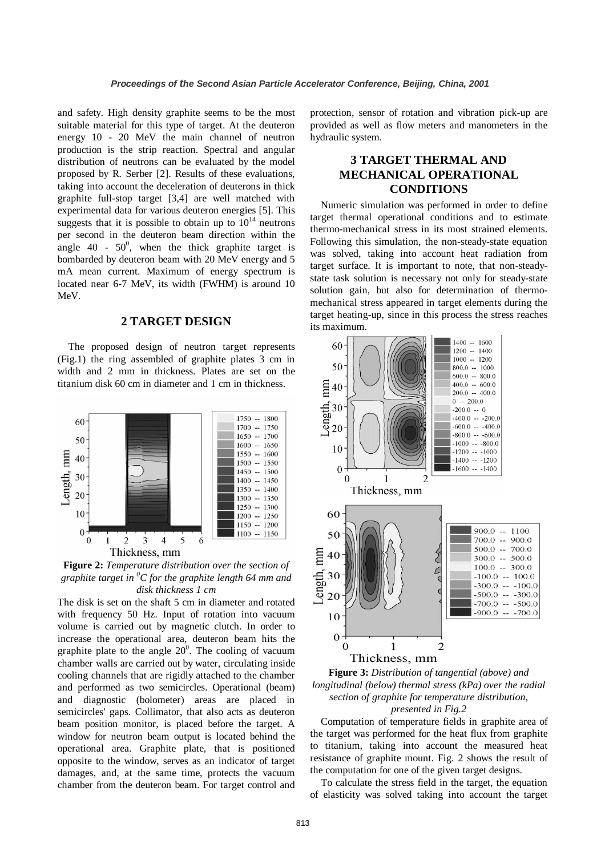and safety. High density graphite seems to be the most suitable material for this type of target. At the deuteron energy 10 - 20 MeV the main channel of neutron production is the strip reaction. Spectral and angular distribution of neutrons can be evaluated by the model proposed by R. Serber [2]. Results of these evaluations, taking into account the deceleration of deuterons in thick graphite full-stop target [3,4] are well matched with experimental data for various deuteron energies [5]. This suggests that it is possible to obtain up to  $10^{14}$  neutrons per second in the deuteron beam direction within the angle 40 -  $50^0$ , when the thick graphite target is bombarded by deuteron beam with 20 MeV energy and 5 mA mean current. Maximum of energy spectrum is located near 6-7 MeV, its width (FWHM) is around 10 MeV.

## **2 TARGET DESIGN**

 The proposed design of neutron target represents (Fig.1) the ring assembled of graphite plates 3 cm in width and 2 mm in thickness. Plates are set on the titanium disk 60 cm in diameter and 1 cm in thickness.



**Figure 2:** *Temperature distribution over the section of graphite target in <sup>0</sup> C for the graphite length 64 mm and disk thickness 1 cm* 

The disk is set on the shaft 5 cm in diameter and rotated with frequency 50 Hz. Input of rotation into vacuum volume is carried out by magnetic clutch. In order to increase the operational area, deuteron beam hits the graphite plate to the angle  $20^0$ . The cooling of vacuum chamber walls are carried out by water, circulating inside cooling channels that are rigidly attached to the chamber and performed as two semicircles. Operational (beam) and diagnostic (bolometer) areas are placed in semicircles' gaps. Collimator, that also acts as deuteron beam position monitor, is placed before the target. A window for neutron beam output is located behind the operational area. Graphite plate, that is positioned opposite to the window, serves as an indicator of target damages, and, at the same time, protects the vacuum chamber from the deuteron beam. For target control and

protection, sensor of rotation and vibration pick-up are provided as well as flow meters and manometers in the hydraulic system.

## **3 TARGET THERMAL AND MECHANICAL OPERATIONAL CONDITIONS**

 Numeric simulation was performed in order to define target thermal operational conditions and to estimate thermo-mechanical stress in its most strained elements. Following this simulation, the non-steady-state equation was solved, taking into account heat radiation from target surface. It is important to note, that non-steadystate task solution is necessary not only for steady-state solution gain, but also for determination of thermomechanical stress appeared in target elements during the target heating-up, since in this process the stress reaches its maximum.





 Computation of temperature fields in graphite area of the target was performed for the heat flux from graphite to titanium, taking into account the measured heat resistance of graphite mount. Fig. 2 shows the result of the computation for one of the given target designs.

 To calculate the stress field in the target, the equation of elasticity was solved taking into account the target